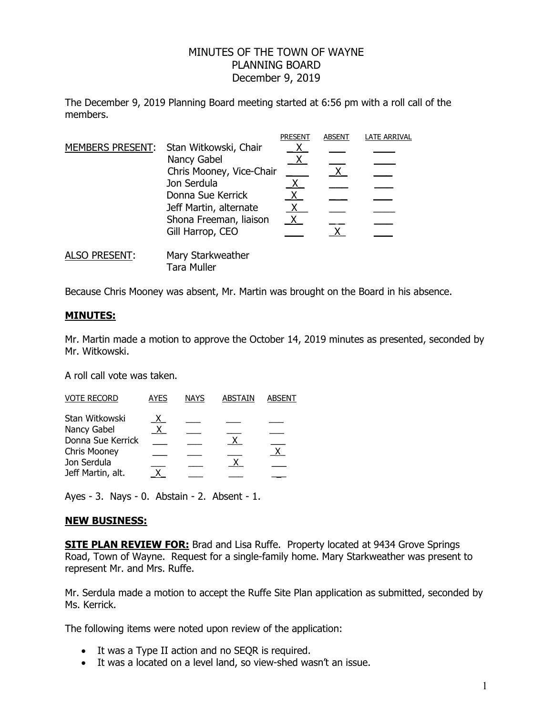## MINUTES OF THE TOWN OF WAYNE PLANNING BOARD December 9, 2019

The December 9, 2019 Planning Board meeting started at 6:56 pm with a roll call of the members.

|                      |                                         | <b>PRESENT</b> | <b>ABSENT</b> | <b>LATE ARRIVAL</b> |
|----------------------|-----------------------------------------|----------------|---------------|---------------------|
|                      | MEMBERS PRESENT: Stan Witkowski, Chair  |                |               |                     |
|                      | Nancy Gabel                             |                |               |                     |
|                      | Chris Mooney, Vice-Chair                |                |               |                     |
|                      | Jon Serdula                             |                |               |                     |
|                      | Donna Sue Kerrick                       | X              |               |                     |
|                      | Jeff Martin, alternate                  |                |               |                     |
|                      | Shona Freeman, liaison                  | X.             |               |                     |
|                      | Gill Harrop, CEO                        |                | $\mathsf{X}$  |                     |
| <b>ALSO PRESENT:</b> | Mary Starkweather<br><b>Tara Muller</b> |                |               |                     |

Because Chris Mooney was absent, Mr. Martin was brought on the Board in his absence.

## **MINUTES:**

Mr. Martin made a motion to approve the October 14, 2019 minutes as presented, seconded by Mr. Witkowski.

A roll call vote was taken.

| <b>AYES</b>  | <b>NAYS</b> | <b>ABSTAIN</b> | <b>ABSENT</b> |
|--------------|-------------|----------------|---------------|
| $\mathsf{X}$ |             |                |               |
|              |             |                |               |
|              |             |                |               |
|              |             |                |               |
|              |             |                |               |
|              |             |                |               |
|              |             |                |               |

Ayes - 3. Nays - 0. Abstain - 2. Absent - 1.

## **NEW BUSINESS:**

**SITE PLAN REVIEW FOR:** Brad and Lisa Ruffe. Property located at 9434 Grove Springs Road, Town of Wayne. Request for a single-family home. Mary Starkweather was present to represent Mr. and Mrs. Ruffe.

Mr. Serdula made a motion to accept the Ruffe Site Plan application as submitted, seconded by Ms. Kerrick.

The following items were noted upon review of the application:

- It was a Type II action and no SEQR is required.
- It was a located on a level land, so view-shed wasn't an issue.